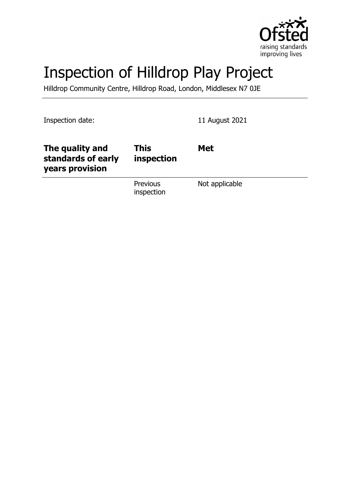

# Inspection of Hilldrop Play Project

Hilldrop Community Centre, Hilldrop Road, London, Middlesex N7 0JE

Inspection date: 11 August 2021

| The quality and<br>standards of early<br>years provision | <b>This</b><br>inspection | <b>Met</b>     |
|----------------------------------------------------------|---------------------------|----------------|
|                                                          | Previous<br>inspection    | Not applicable |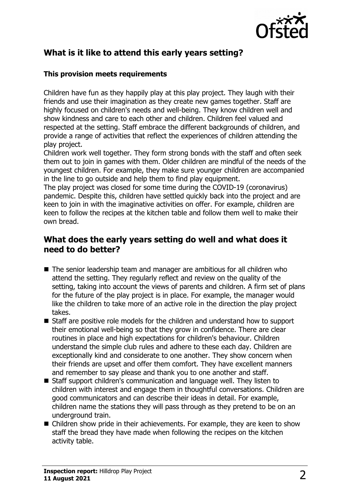

# **What is it like to attend this early years setting?**

#### **This provision meets requirements**

Children have fun as they happily play at this play project. They laugh with their friends and use their imagination as they create new games together. Staff are highly focused on children's needs and well-being. They know children well and show kindness and care to each other and children. Children feel valued and respected at the setting. Staff embrace the different backgrounds of children, and provide a range of activities that reflect the experiences of children attending the play project.

Children work well together. They form strong bonds with the staff and often seek them out to join in games with them. Older children are mindful of the needs of the youngest children. For example, they make sure younger children are accompanied in the line to go outside and help them to find play equipment.

The play project was closed for some time during the COVID-19 (coronavirus) pandemic. Despite this, children have settled quickly back into the project and are keen to join in with the imaginative activities on offer. For example, children are keen to follow the recipes at the kitchen table and follow them well to make their own bread.

## **What does the early years setting do well and what does it need to do better?**

- The senior leadership team and manager are ambitious for all children who attend the setting. They regularly reflect and review on the quality of the setting, taking into account the views of parents and children. A firm set of plans for the future of the play project is in place. For example, the manager would like the children to take more of an active role in the direction the play project takes.
- Staff are positive role models for the children and understand how to support their emotional well-being so that they grow in confidence. There are clear routines in place and high expectations for children's behaviour. Children understand the simple club rules and adhere to these each day. Children are exceptionally kind and considerate to one another. They show concern when their friends are upset and offer them comfort. They have excellent manners and remember to say please and thank you to one another and staff.
- Staff support children's communication and language well. They listen to children with interest and engage them in thoughtful conversations. Children are good communicators and can describe their ideas in detail. For example, children name the stations they will pass through as they pretend to be on an underground train.
- $\blacksquare$  Children show pride in their achievements. For example, they are keen to show staff the bread they have made when following the recipes on the kitchen activity table.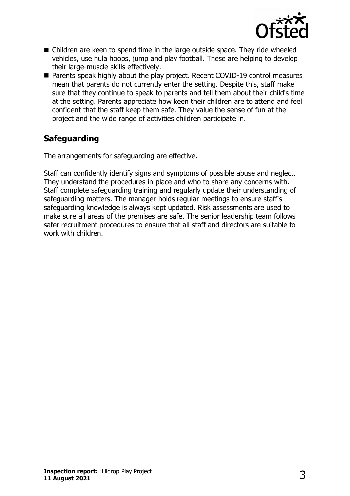

- $\blacksquare$  Children are keen to spend time in the large outside space. They ride wheeled vehicles, use hula hoops, jump and play football. These are helping to develop their large-muscle skills effectively.
- Parents speak highly about the play project. Recent COVID-19 control measures mean that parents do not currently enter the setting. Despite this, staff make sure that they continue to speak to parents and tell them about their child's time at the setting. Parents appreciate how keen their children are to attend and feel confident that the staff keep them safe. They value the sense of fun at the project and the wide range of activities children participate in.

# **Safeguarding**

The arrangements for safeguarding are effective.

Staff can confidently identify signs and symptoms of possible abuse and neglect. They understand the procedures in place and who to share any concerns with. Staff complete safeguarding training and regularly update their understanding of safeguarding matters. The manager holds regular meetings to ensure staff's safeguarding knowledge is always kept updated. Risk assessments are used to make sure all areas of the premises are safe. The senior leadership team follows safer recruitment procedures to ensure that all staff and directors are suitable to work with children.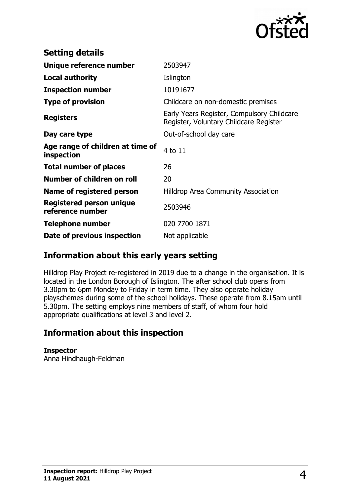

| <b>Setting details</b>                         |                                                                                      |
|------------------------------------------------|--------------------------------------------------------------------------------------|
| Unique reference number                        | 2503947                                                                              |
| <b>Local authority</b>                         | Islington                                                                            |
| <b>Inspection number</b>                       | 10191677                                                                             |
| <b>Type of provision</b>                       | Childcare on non-domestic premises                                                   |
| <b>Registers</b>                               | Early Years Register, Compulsory Childcare<br>Register, Voluntary Childcare Register |
| Day care type                                  | Out-of-school day care                                                               |
| Age range of children at time of<br>inspection | 4 to 11                                                                              |
| <b>Total number of places</b>                  | 26                                                                                   |
| Number of children on roll                     | 20                                                                                   |
| Name of registered person                      | <b>Hilldrop Area Community Association</b>                                           |
| Registered person unique<br>reference number   | 2503946                                                                              |
| <b>Telephone number</b>                        | 020 7700 1871                                                                        |
| Date of previous inspection                    | Not applicable                                                                       |

## **Information about this early years setting**

Hilldrop Play Project re-registered in 2019 due to a change in the organisation. It is located in the London Borough of Islington. The after school club opens from 3.30pm to 6pm Monday to Friday in term time. They also operate holiday playschemes during some of the school holidays. These operate from 8.15am until 5.30pm. The setting employs nine members of staff, of whom four hold appropriate qualifications at level 3 and level 2.

## **Information about this inspection**

### **Inspector**

Anna Hindhaugh-Feldman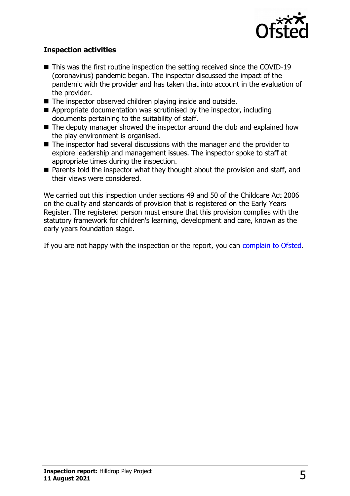

#### **Inspection activities**

- $\blacksquare$  This was the first routine inspection the setting received since the COVID-19 (coronavirus) pandemic began. The inspector discussed the impact of the pandemic with the provider and has taken that into account in the evaluation of the provider.
- $\blacksquare$  The inspector observed children playing inside and outside.
- $\blacksquare$  Appropriate documentation was scrutinised by the inspector, including documents pertaining to the suitability of staff.
- $\blacksquare$  The deputy manager showed the inspector around the club and explained how the play environment is organised.
- $\blacksquare$  The inspector had several discussions with the manager and the provider to explore leadership and management issues. The inspector spoke to staff at appropriate times during the inspection.
- $\blacksquare$  Parents told the inspector what they thought about the provision and staff, and their views were considered.

We carried out this inspection under sections 49 and 50 of the Childcare Act 2006 on the quality and standards of provision that is registered on the Early Years Register. The registered person must ensure that this provision complies with the statutory framework for children's learning, development and care, known as the early years foundation stage.

If you are not happy with the inspection or the report, you can complain to Ofsted.